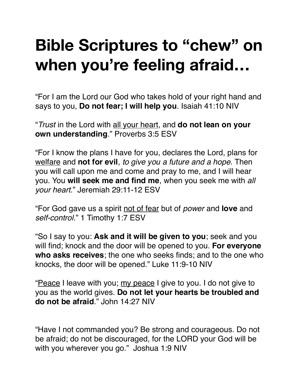## **Bible Scriptures to "chew" on when you're feeling afraid…**

"For I am the Lord our God who takes hold of your right hand and says to you, **Do not fear; I will help you**. Isaiah 41:10 NIV

"*Trust* in the Lord with all your heart, and **do not lean on your own understanding**." Proverbs 3:5 ESV

"For I know the plans I have for you, declares the Lord, plans for welfare and **not for evil**, *to give you a future and a hope*. Then you will call upon me and come and pray to me, and I will hear you. You **will seek me and find me**, when you seek me with *all your heart*." Jeremiah 29:11-12 ESV

"For God gave us a spirit not of fear but of *power* and **love** and *self-control*." 1 Timothy 1:7 ESV

"So I say to you: **Ask and it will be given to you**; seek and you will find; knock and the door will be opened to you. **For everyone who asks receives**; the one who seeks finds; and to the one who knocks, the door will be opened." Luke 11:9-10 NIV

"Peace I leave with you; my peace I give to you. I do not give to you as the world gives. **Do not let your hearts be troubled and do not be afraid**." John 14:27 NIV

"Have I not commanded you? Be strong and courageous. Do not be afraid; do not be discouraged, for the LORD your God will be with you wherever you go." Joshua 1:9 NIV